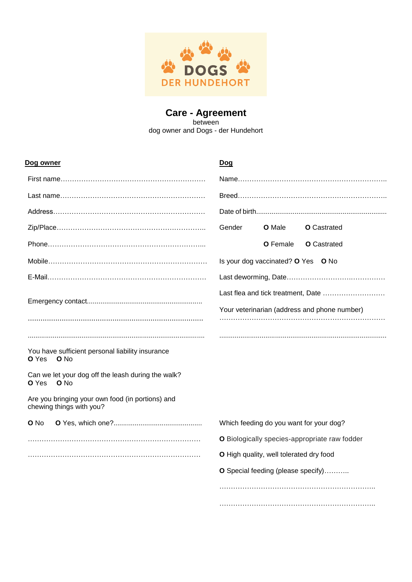

## **Care - Agreement** between dog owner and Dogs - der Hundehort

| Dog owner                                                                         | <u>Dog</u>                                    |  |
|-----------------------------------------------------------------------------------|-----------------------------------------------|--|
|                                                                                   |                                               |  |
|                                                                                   |                                               |  |
|                                                                                   |                                               |  |
|                                                                                   | Gender<br><b>O</b> Male<br><b>O</b> Castrated |  |
|                                                                                   | O Female<br><b>O</b> Castrated                |  |
|                                                                                   | Is your dog vaccinated? O Yes O No            |  |
|                                                                                   |                                               |  |
|                                                                                   | Last flea and tick treatment, Date            |  |
|                                                                                   | Your veterinarian (address and phone number)  |  |
|                                                                                   |                                               |  |
|                                                                                   |                                               |  |
| You have sufficient personal liability insurance<br>O Yes<br>O No                 |                                               |  |
| Can we let your dog off the leash during the walk?<br><b>O</b> Yes<br><b>O</b> No |                                               |  |
| Are you bringing your own food (in portions) and<br>chewing things with you?      |                                               |  |
| O No                                                                              | Which feeding do you want for your dog?       |  |
|                                                                                   | O Biologically species-appropriate raw fodder |  |
|                                                                                   | O High quality, well tolerated dry food       |  |
|                                                                                   | O Special feeding (please specify)            |  |
|                                                                                   |                                               |  |
|                                                                                   |                                               |  |
|                                                                                   |                                               |  |